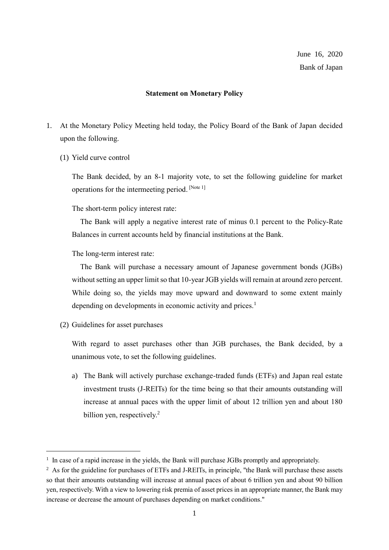## **Statement on Monetary Policy**

- 1. At the Monetary Policy Meeting held today, the Policy Board of the Bank of Japan decided upon the following.
	- (1) Yield curve control

The Bank decided, by an 8-1 majority vote, to set the following guideline for market operations for the intermeeting period. [Note 1]

The short-term policy interest rate:

The Bank will apply a negative interest rate of minus 0.1 percent to the Policy-Rate Balances in current accounts held by financial institutions at the Bank.

The long-term interest rate:

The Bank will purchase a necessary amount of Japanese government bonds (JGBs) without setting an upper limit so that 10-year JGB yields will remain at around zero percent. While doing so, the yields may move upward and downward to some extent mainly depending on developments in economic activity and prices.<sup>1</sup>

(2) Guidelines for asset purchases

With regard to asset purchases other than JGB purchases, the Bank decided, by a unanimous vote, to set the following guidelines.

a) The Bank will actively purchase exchange-traded funds (ETFs) and Japan real estate investment trusts (J-REITs) for the time being so that their amounts outstanding will increase at annual paces with the upper limit of about 12 trillion yen and about 180 billion yen, respectively.<sup>2</sup>

<sup>&</sup>lt;sup>1</sup> In case of a rapid increase in the yields, the Bank will purchase JGBs promptly and appropriately.

<sup>&</sup>lt;sup>2</sup> As for the guideline for purchases of ETFs and J-REITs, in principle, "the Bank will purchase these assets so that their amounts outstanding will increase at annual paces of about 6 trillion yen and about 90 billion yen, respectively. With a view to lowering risk premia of asset prices in an appropriate manner, the Bank may increase or decrease the amount of purchases depending on market conditions."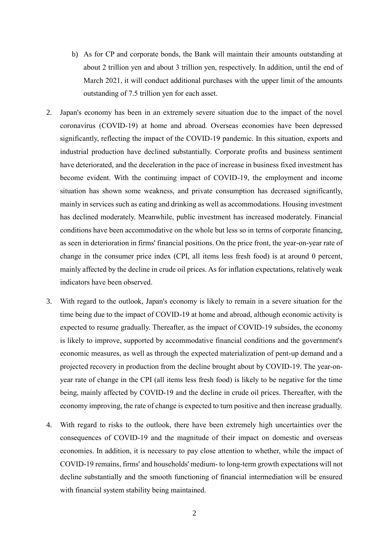- b) As for CP and corporate bonds, the Bank will maintain their amounts outstanding at about 2 trillion yen and about 3 trillion yen, respectively. In addition, until the end of March 2021, it will conduct additional purchases with the upper limit of the amounts outstanding of 7.5 trillion yen for each asset.
- 2. Japan's economy has been in an extremely severe situation due to the impact of the novel coronavirus (COVID-19) at home and abroad. Overseas economies have been depressed significantly, reflecting the impact of the COVID-19 pandemic. In this situation, exports and industrial production have declined substantially. Corporate profits and business sentiment have deteriorated, and the deceleration in the pace of increase in business fixed investment has become evident. With the continuing impact of COVID-19, the employment and income situation has shown some weakness, and private consumption has decreased significantly, mainly in services such as eating and drinking as well as accommodations. Housing investment has declined moderately. Meanwhile, public investment has increased moderately. Financial conditions have been accommodative on the whole but less so in terms of corporate financing, as seen in deterioration in firms' financial positions. On the price front, the year-on-year rate of change in the consumer price index (CPI, all items less fresh food) is at around 0 percent, mainly affected by the decline in crude oil prices. As for inflation expectations, relatively weak indicators have been observed.
- 3. With regard to the outlook, Japan's economy is likely to remain in a severe situation for the time being due to the impact of COVID-19 at home and abroad, although economic activity is expected to resume gradually. Thereafter, as the impact of COVID-19 subsides, the economy is likely to improve, supported by accommodative financial conditions and the government's economic measures, as well as through the expected materialization of pent-up demand and a projected recovery in production from the decline brought about by COVID-19. The year-onyear rate of change in the CPI (all items less fresh food) is likely to be negative for the time being, mainly affected by COVID-19 and the decline in crude oil prices. Thereafter, with the economy improving, the rate of change is expected to turn positive and then increase gradually.
- 4. With regard to risks to the outlook, there have been extremely high uncertainties over the consequences of COVID-19 and the magnitude of their impact on domestic and overseas economies. In addition, it is necessary to pay close attention to whether, while the impact of COVID-19 remains, firms' and households' medium- to long-term growth expectations will not decline substantially and the smooth functioning of financial intermediation will be ensured with financial system stability being maintained.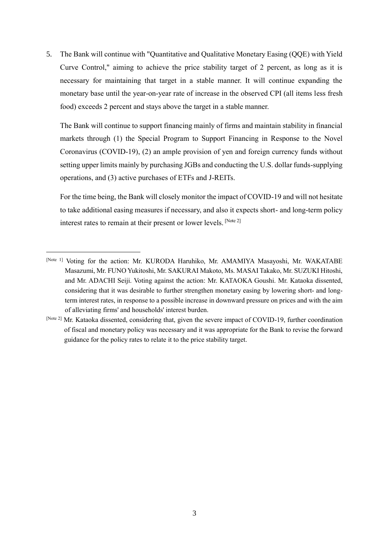5. The Bank will continue with "Quantitative and Qualitative Monetary Easing (QQE) with Yield Curve Control," aiming to achieve the price stability target of 2 percent, as long as it is necessary for maintaining that target in a stable manner. It will continue expanding the monetary base until the year-on-year rate of increase in the observed CPI (all items less fresh food) exceeds 2 percent and stays above the target in a stable manner.

The Bank will continue to support financing mainly of firms and maintain stability in financial markets through (1) the Special Program to Support Financing in Response to the Novel Coronavirus (COVID-19), (2) an ample provision of yen and foreign currency funds without setting upper limits mainly by purchasing JGBs and conducting the U.S. dollar funds-supplying operations, and (3) active purchases of ETFs and J-REITs.

For the time being, the Bank will closely monitor the impact of COVID-19 and will not hesitate to take additional easing measures if necessary, and also it expects short- and long-term policy interest rates to remain at their present or lower levels. [Note 2]

<sup>[</sup>Note 1] Voting for the action: Mr. KURODA Haruhiko, Mr. AMAMIYA Masayoshi, Mr. WAKATABE Masazumi, Mr. FUNO Yukitoshi, Mr. SAKURAI Makoto, Ms. MASAI Takako, Mr. SUZUKI Hitoshi, and Mr. ADACHI Seiji. Voting against the action: Mr. KATAOKA Goushi. Mr. Kataoka dissented, considering that it was desirable to further strengthen monetary easing by lowering short- and longterm interest rates, in response to a possible increase in downward pressure on prices and with the aim of alleviating firms' and households' interest burden.

<sup>[</sup>Note 2] Mr. Kataoka dissented, considering that, given the severe impact of COVID-19, further coordination of fiscal and monetary policy was necessary and it was appropriate for the Bank to revise the forward guidance for the policy rates to relate it to the price stability target.